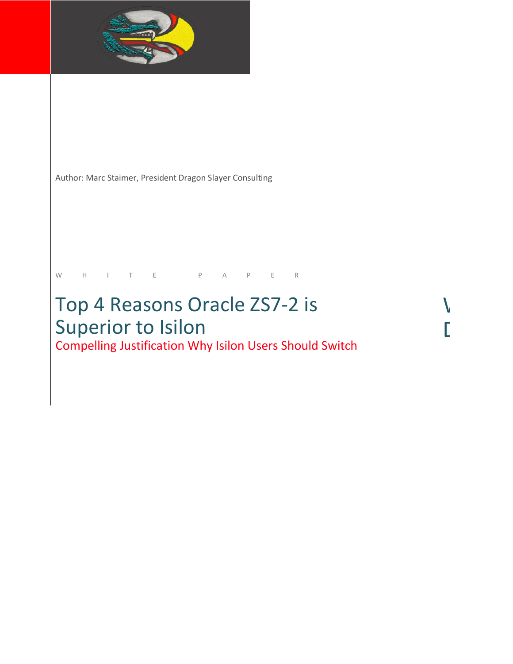

Author: Marc Staimer, President Dragon Slayer Consulting

## W H I T E P A P E R

# Top 4 Reasons Oracle ZS7-2 is Superior to Isilon Day 2011 11:00 PM Compelling Justification Why Isilon Users Should Switch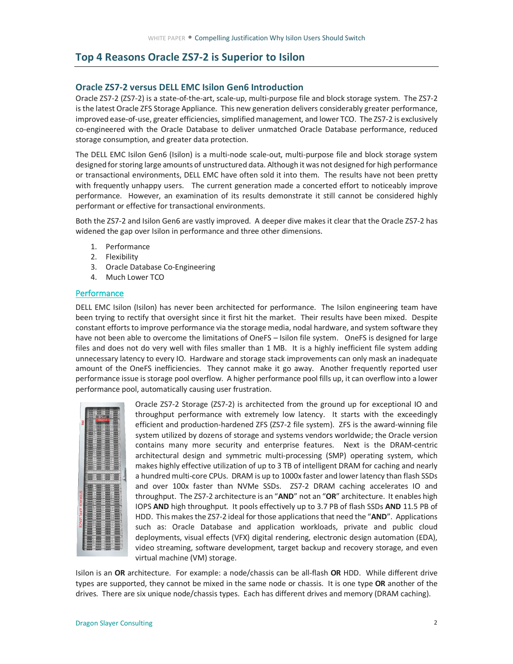### **Top 4 Reasons Oracle ZS7-2 is Superior to Isilon**

#### **Oracle ZS7-2 versus DELL EMC Isilon Gen6 Introduction**

 Oracle ZS7-2 (ZS7-2) is a state-of-the-art, scale-up, multi-purpose file and block storage system. The ZS7-2 is the latest Oracle ZFS Storage Appliance. This new generation delivers considerably greater performance, improved ease-of-use, greater efficiencies, simplified management, and lower TCO. The ZS7-2 is exclusively co-engineered with the Oracle Database to deliver unmatched Oracle Database performance, reduced storage consumption, and greater data protection.

 The DELL EMC Isilon Gen6 (Isilon) is a multi-node scale-out, multi-purpose file and block storage system designed for storing large amounts of unstructured data. Although it was not designed for high performance or transactional environments, DELL EMC have often sold it into them. The results have not been pretty with frequently unhappy users. The current generation made a concerted effort to noticeably improve performance. However, an examination of its results demonstrate it still cannot be considered highly performant or effective for transactional environments.

 Both the ZS7-2 and Isilon Gen6 are vastly improved. A deeper dive makes it clear that the Oracle ZS7-2 has widened the gap over Isilon in performance and three other dimensions.

- 1. Performance
- 2. Flexibility
- 3. Oracle Database Co-Engineering
- 4. Much Lower TCO

#### **Performance**

 DELL EMC Isilon (Isilon) has never been architected for performance. The Isilon engineering team have been trying to rectify that oversight since it first hit the market. Their results have been mixed. Despite constant efforts to improve performance via the storage media, nodal hardware, and system software they have not been able to overcome the limitations of OneFS – Isilon file system. OneFS is designed for large files and does not do very well with files smaller than 1 MB. It is a highly inefficient file system adding unnecessary latency to every IO. Hardware and storage stack improvements can only mask an inadequate amount of the OneFS inefficiencies. They cannot make it go away. Another frequently reported user performance issue is storage pool overflow. A higher performance pool fills up, it can overflow into a lower performance pool, automatically causing user frustration.



 Oracle ZS7-2 Storage (ZS7-2) is architected from the ground up for exceptional IO and throughput performance with extremely low latency. It starts with the exceedingly efficient and production-hardened ZFS (ZS7-2 file system). ZFS is the award-winning file system utilized by dozens of storage and systems vendors worldwide; the Oracle version contains many more security and enterprise features. Next is the DRAM-centric architectural design and symmetric multi-processing (SMP) operating system, which makes highly effective utilization of up to 3 TB of intelligent DRAM for caching and nearly a hundred multi-core CPUs. DRAM is up to 1000x faster and lower latency than flash SSDs and over 100x faster than NVMe SSDs. ZS7-2 DRAM caching accelerates IO and throughput. The ZS7-2 architecture is an "**AND**" not an "**OR**" architecture. It enables high IOPS **AND** high throughput. It pools effectively up to 3.7 PB of flash SSDs **AND** 11.5 PB of HDD. This makes the ZS7-2 ideal for those applications that need the "**AND**". Applications such as: Oracle Database and application workloads, private and public cloud deployments, visual effects (VFX) digital rendering, electronic design automation (EDA), video streaming, software development, target backup and recovery storage, and even virtual machine (VM) storage.

 Isilon is an **OR** architecture. For example: a node/chassis can be all-flash **OR** HDD. While different drive types are supported, they cannot be mixed in the same node or chassis. It is one type **OR** another of the drives. There are six unique node/chassis types. Each has different drives and memory (DRAM caching).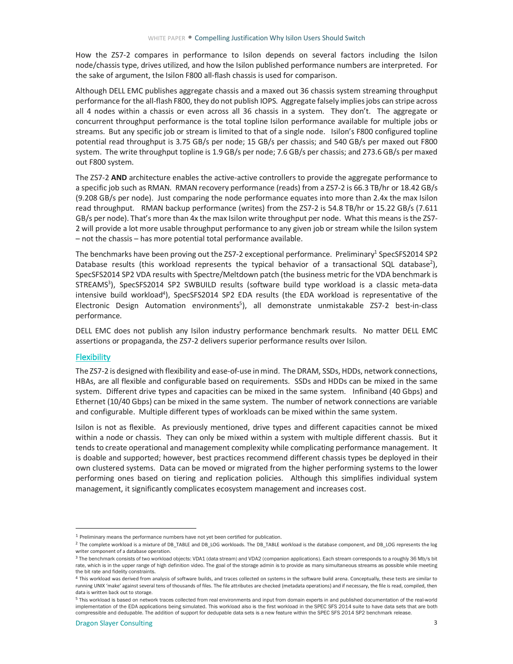How the ZS7-2 compares in performance to Isilon depends on several factors including the Isilon node/chassis type, drives utilized, and how the Isilon published performance numbers are interpreted. For the sake of argument, the Isilon F800 all-flash chassis is used for comparison.

 Although DELL EMC publishes aggregate chassis and a maxed out 36 chassis system streaming throughput performance for the all-flash F800, they do not publish IOPS. Aggregate falsely impliesjobs can stripe across all 4 nodes within a chassis or even across all 36 chassis in a system. They don't. The aggregate or concurrent throughput performance is the total topline Isilon performance available for multiple jobs or streams. But any specific job or stream is limited to that of a single node. Isilon's F800 configured topline potential read throughput is 3.75 GB/s per node; 15 GB/s per chassis; and 540 GB/s per maxed out F800 system. The write throughput topline is 1.9 GB/s per node; 7.6 GB/s per chassis; and 273.6 GB/s per maxed out F800 system.

 The ZS7-2 **AND** architecture enables the active-active controllers to provide the aggregate performance to a specific job such as RMAN. RMAN recovery performance (reads) from a ZS7-2 is 66.3 TB/hr or 18.42 GB/s (9.208 GB/s per node). Just comparing the node performance equates into more than 2.4x the max Isilon read throughput. RMAN backup performance (writes) from the ZS7-2 is 54.8 TB/hr or 15.22 GB/s (7.611 GB/s per node). That's more than 4x the max Isilon write throughput per node. What this means isthe ZS7- 2 will provide a lot more usable throughput performance to any given job or stream while the Isilon system – not the chassis – has more potential total performance available.

The benchmarks have been proving out the ZS7-2 exceptional performance. Preliminary<sup>1</sup> SpecSFS2014 SP2 Database results (this workload represents the typical behavior of a transactional SQL database<sup>2</sup>), SpecSFS2014 SP2 VDA results with Spectre/Meltdown patch (the business metric for the VDA benchmark is STREAMS<sup>3</sup>), SpecSFS2014 SP2 SWBUILD results (software build type workload is a classic meta-data intensive build workload<sup>4</sup>), SpecSFS2014 SP2 EDA results (the EDA workload is representative of the Electronic Design Automation environments<sup>5</sup>), all demonstrate unmistakable ZS7-2 best-in-class performance.

performance.<br>DELL EMC does not publish any Isilon industry performance benchmark results. No matter DELL EMC assertions or propaganda, the ZS7-2 delivers superior performance results over Isilon.

#### **Flexibility**

 $\overline{a}$ 

 The ZS7-2 is designed with flexibility and ease-of-use in mind. The DRAM, SSDs, HDDs, network connections, HBAs, are all flexible and configurable based on requirements. SSDs and HDDs can be mixed in the same system. Different drive types and capacities can be mixed in the same system. Infiniband (40 Gbps) and Ethernet (10/40 Gbps) can be mixed in the same system. The number of network connections are variable and configurable. Multiple different types of workloads can be mixed within the same system.

 Isilon is not as flexible. As previously mentioned, drive types and different capacities cannot be mixed within a node or chassis. They can only be mixed within a system with multiple different chassis. But it tends to create operational and management complexity while complicating performance management. It is doable and supported; however, best practices recommend different chassis types be deployed in their own clustered systems. Data can be moved or migrated from the higher performing systems to the lower performing ones based on tiering and replication policies. Although this simplifies individual system management, it significantly complicates ecosystem management and increases cost.

<sup>1</sup> Preliminary means the performance numbers have not yet been certified for publication.

<sup>&</sup>lt;sup>2</sup> The complete workload is a mixture of DB\_TABLE and DB\_LOG workloads. The DB\_TABLE workload is the database component, and DB\_LOG represents the log writer component of a database operation.

<sup>&</sup>lt;sup>3</sup> The benchmark consists of two workload objects: VDA1 (data stream) and VDA2 (companion applications). Each stream corresponds to a roughly 36 Mb/s bit rate, which is in the upper range of high definition video. The goal of the storage admin is to provide as many simultaneous streams as possible while meeting the bit rate and fidelity constraints.

<sup>4</sup> This workload was derived from analysis of software builds, and traces collected on systems in the software build arena. Conceptually, these tests are similar to running UNIX 'make' against several tens of thousands of files. The file attributes are checked (metadata operations) and if necessary, the file is read, compiled, then data is written back out to storage.

<sup>&</sup>lt;sup>5</sup> This workload is based on network traces collected from real environments and input from domain experts in and published documentation of the real-world implementation of the EDA applications being simulated. This workload also is the first workload in the SPEC SFS 2014 suite to have data sets that are both compressible and dedupable. The addition of support for dedupable data sets is a new feature within the SPEC SFS 2014 SP2 benchmark release.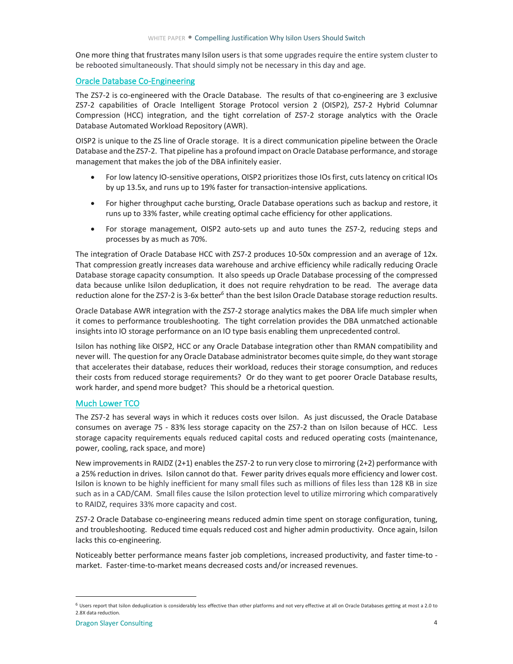One more thing that frustrates many Isilon users is that some upgrades require the entire system cluster to be rebooted simultaneously. That should simply not be necessary in this day and age.

#### Oracle Database Co-Engineering

 The ZS7-2 is co-engineered with the Oracle Database. The results of that co-engineering are 3 exclusive ZS7-2 capabilities of Oracle Intelligent Storage Protocol version 2 (OISP2), ZS7-2 Hybrid Columnar Compression (HCC) integration, and the tight correlation of ZS7-2 storage analytics with the Oracle Database Automated Workload Repository (AWR).

 OISP2 is unique to the ZS line of Oracle storage. It is a direct communication pipeline between the Oracle Database and the ZS7-2. That pipeline has a profound impact on Oracle Database performance, and storage management that makes the job of the DBA infinitely easier.

- • For low latency IO-sensitive operations, OISP2 prioritizes those IOs first, cuts latency on critical IOs by up 13.5x, and runs up to 19% faster for transaction-intensive applications.
- • For higher throughput cache bursting, Oracle Database operations such as backup and restore, it runs up to 33% faster, while creating optimal cache efficiency for other applications.
- • For storage management, OISP2 auto-sets up and auto tunes the ZS7-2, reducing steps and processes by as much as 70%.

 The integration of Oracle Database HCC with ZS7-2 produces 10-50x compression and an average of 12x. That compression greatly increases data warehouse and archive efficiency while radically reducing Oracle Database storage capacity consumption. It also speeds up Oracle Database processing of the compressed data because unlike Isilon deduplication, it does not require rehydration to be read. The average data reduction alone for the ZS7-2 is 3-6x better<sup>6</sup> than the best Isilon Oracle Database storage reduction results.

 Oracle Database AWR integration with the ZS7-2 storage analytics makes the DBA life much simpler when it comes to performance troubleshooting. The tight correlation provides the DBA unmatched actionable insights into IO storage performance on an IO type basis enabling them unprecedented control.

 Isilon has nothing like OISP2, HCC or any Oracle Database integration other than RMAN compatibility and never will. The question for any Oracle Database administrator becomes quite simple, do they want storage that accelerates their database, reduces their workload, reduces their storage consumption, and reduces their costs from reduced storage requirements? Or do they want to get poorer Oracle Database results, work harder, and spend more budget? This should be a rhetorical question.

#### Much Lower TCO

 The ZS7-2 has several ways in which it reduces costs over Isilon. As just discussed, the Oracle Database consumes on average 75 - 83% less storage capacity on the ZS7-2 than on Isilon because of HCC. Less storage capacity requirements equals reduced capital costs and reduced operating costs (maintenance, power, cooling, rack space, and more)

 New improvements in RAIDZ (2+1) enables the ZS7-2 to run very close to mirroring (2+2) performance with a 25% reduction in drives. Isilon cannot do that. Fewer parity drives equals more efficiency and lower cost. Isilon is known to be highly inefficient for many small files such as millions of files less than 128 KB in size such as in a CAD/CAM. Small files cause the Isilon protection level to utilize mirroring which comparatively to RAIDZ, requires 33% more capacity and cost.

 ZS7-2 Oracle Database co-engineering means reduced admin time spent on storage configuration, tuning, and troubleshooting. Reduced time equals reduced cost and higher admin productivity. Once again, Isilon lacks this co-engineering.

 Noticeably better performance means faster job completions, increased productivity, and faster time-to - market. Faster-time-to-market means decreased costs and/or increased revenues.

 $\overline{a}$ 

 2.8X data reduction.  $^6$  Users report that Isilon deduplication is considerably less effective than other platforms and not very effective at all on Oracle Databases getting at most a 2.0 to